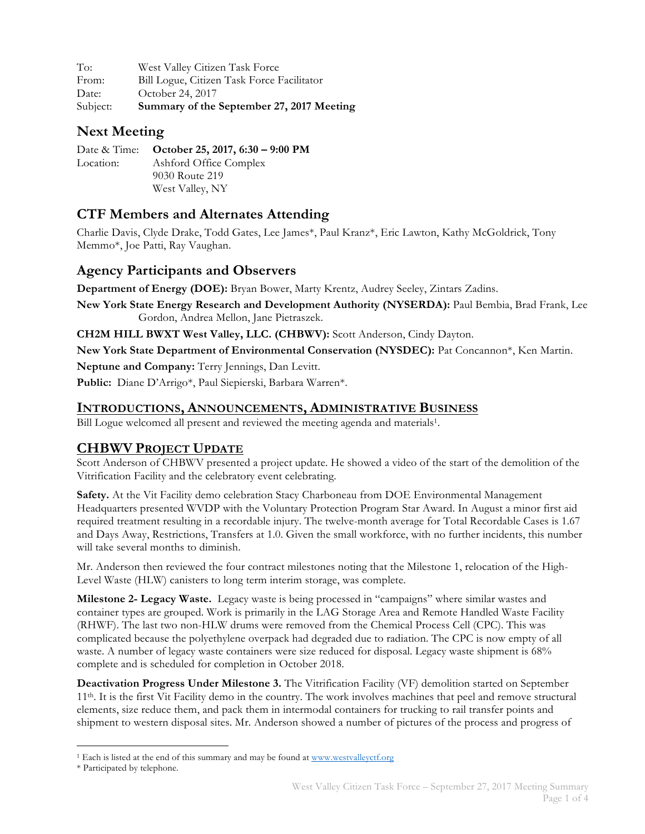| To:      | West Valley Citizen Task Force             |
|----------|--------------------------------------------|
| From:    | Bill Logue, Citizen Task Force Facilitator |
| Date:    | October 24, 2017                           |
| Subject: | Summary of the September 27, 2017 Meeting  |

# **Next Meeting**

Date & Time: **October 25, 2017, 6:30 – 9:00 PM** Location: Ashford Office Complex 9030 Route 219 West Valley, NY

# **CTF Members and Alternates Attending**

Charlie Davis, Clyde Drake, Todd Gates, Lee James\*, Paul Kranz\*, Eric Lawton, Kathy McGoldrick, Tony Memmo\*, Joe Patti, Ray Vaughan.

## **Agency Participants and Observers**

**Department of Energy (DOE):** Bryan Bower, Marty Krentz, Audrey Seeley, Zintars Zadins.

**New York State Energy Research and Development Authority (NYSERDA):** Paul Bembia, Brad Frank, Lee Gordon, Andrea Mellon, Jane Pietraszek.

**CH2M HILL BWXT West Valley, LLC. (CHBWV):** Scott Anderson, Cindy Dayton.

**New York State Department of Environmental Conservation (NYSDEC):** Pat Concannon\*, Ken Martin.

**Neptune and Company:** Terry Jennings, Dan Levitt.

**Public:** Diane D'Arrigo\*, Paul Siepierski, Barbara Warren\*.

#### **INTRODUCTIONS, ANNOUNCEMENTS, ADMINISTRATIVE BUSINESS**

Bill Logue welcomed all present and reviewed the meeting agenda and materials<sup>1</sup>.

## **CHBWV PROJECT UPDATE**

Scott Anderson of CHBWV presented a project update. He showed a video of the start of the demolition of the Vitrification Facility and the celebratory event celebrating.

**Safety.** At the Vit Facility demo celebration Stacy Charboneau from DOE Environmental Management Headquarters presented WVDP with the Voluntary Protection Program Star Award. In August a minor first aid required treatment resulting in a recordable injury. The twelve-month average for Total Recordable Cases is 1.67 and Days Away, Restrictions, Transfers at 1.0. Given the small workforce, with no further incidents, this number will take several months to diminish.

Mr. Anderson then reviewed the four contract milestones noting that the Milestone 1, relocation of the High-Level Waste (HLW) canisters to long term interim storage, was complete.

**Milestone 2- Legacy Waste.** Legacy waste is being processed in "campaigns" where similar wastes and container types are grouped. Work is primarily in the LAG Storage Area and Remote Handled Waste Facility (RHWF). The last two non-HLW drums were removed from the Chemical Process Cell (CPC). This was complicated because the polyethylene overpack had degraded due to radiation. The CPC is now empty of all waste. A number of legacy waste containers were size reduced for disposal. Legacy waste shipment is 68% complete and is scheduled for completion in October 2018.

**Deactivation Progress Under Milestone 3.** The Vitrification Facility (VF) demolition started on September 11th. It is the first Vit Facility demo in the country. The work involves machines that peel and remove structural elements, size reduce them, and pack them in intermodal containers for trucking to rail transfer points and shipment to western disposal sites. Mr. Anderson showed a number of pictures of the process and progress of

<sup>&</sup>lt;sup>1</sup> Each is listed at the end of this summary and may be found at www.westvalleyctf.org

<sup>\*</sup> Participated by telephone.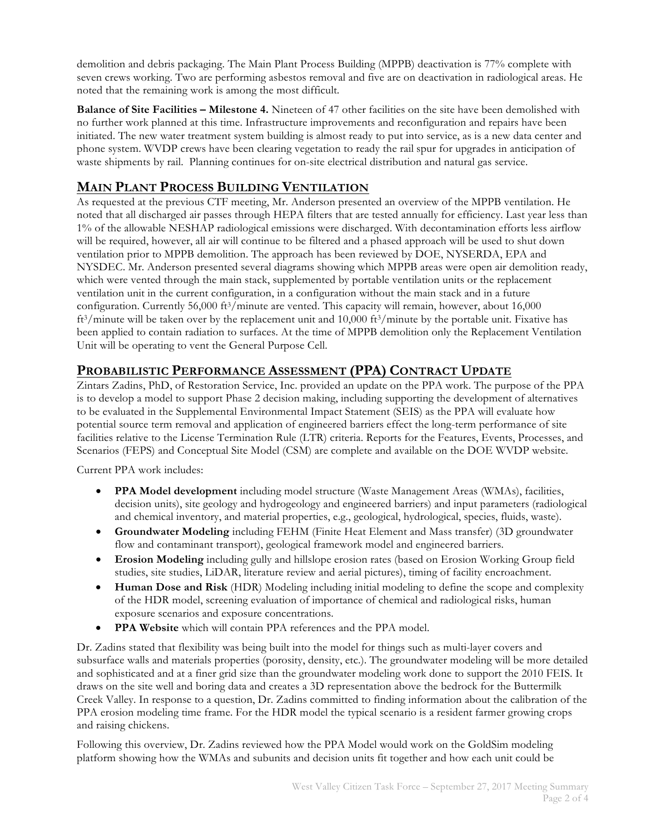demolition and debris packaging. The Main Plant Process Building (MPPB) deactivation is 77% complete with seven crews working. Two are performing asbestos removal and five are on deactivation in radiological areas. He noted that the remaining work is among the most difficult.

**Balance of Site Facilities – Milestone 4.** Nineteen of 47 other facilities on the site have been demolished with no further work planned at this time. Infrastructure improvements and reconfiguration and repairs have been initiated. The new water treatment system building is almost ready to put into service, as is a new data center and phone system. WVDP crews have been clearing vegetation to ready the rail spur for upgrades in anticipation of waste shipments by rail. Planning continues for on-site electrical distribution and natural gas service.

## **MAIN PLANT PROCESS BUILDING VENTILATION**

As requested at the previous CTF meeting, Mr. Anderson presented an overview of the MPPB ventilation. He noted that all discharged air passes through HEPA filters that are tested annually for efficiency. Last year less than 1% of the allowable NESHAP radiological emissions were discharged. With decontamination efforts less airflow will be required, however, all air will continue to be filtered and a phased approach will be used to shut down ventilation prior to MPPB demolition. The approach has been reviewed by DOE, NYSERDA, EPA and NYSDEC. Mr. Anderson presented several diagrams showing which MPPB areas were open air demolition ready, which were vented through the main stack, supplemented by portable ventilation units or the replacement ventilation unit in the current configuration, in a configuration without the main stack and in a future configuration. Currently 56,000 ft<sup>3</sup>/minute are vented. This capacity will remain, however, about 16,000 ft<sup>3</sup>/minute will be taken over by the replacement unit and 10,000 ft<sup>3</sup>/minute by the portable unit. Fixative has been applied to contain radiation to surfaces. At the time of MPPB demolition only the Replacement Ventilation Unit will be operating to vent the General Purpose Cell.

#### **PROBABILISTIC PERFORMANCE ASSESSMENT (PPA) CONTRACT UPDATE**

Zintars Zadins, PhD, of Restoration Service, Inc. provided an update on the PPA work. The purpose of the PPA is to develop a model to support Phase 2 decision making, including supporting the development of alternatives to be evaluated in the Supplemental Environmental Impact Statement (SEIS) as the PPA will evaluate how potential source term removal and application of engineered barriers effect the long-term performance of site facilities relative to the License Termination Rule (LTR) criteria. Reports for the Features, Events, Processes, and Scenarios (FEPS) and Conceptual Site Model (CSM) are complete and available on the DOE WVDP website.

Current PPA work includes:

- **PPA Model development** including model structure (Waste Management Areas (WMAs), facilities, decision units), site geology and hydrogeology and engineered barriers) and input parameters (radiological and chemical inventory, and material properties, e.g., geological, hydrological, species, fluids, waste).
- **Groundwater Modeling** including FEHM (Finite Heat Element and Mass transfer) (3D groundwater flow and contaminant transport), geological framework model and engineered barriers.
- **Erosion Modeling** including gully and hillslope erosion rates (based on Erosion Working Group field studies, site studies, LiDAR, literature review and aerial pictures), timing of facility encroachment.
- **Human Dose and Risk** (HDR) Modeling including initial modeling to define the scope and complexity of the HDR model, screening evaluation of importance of chemical and radiological risks, human exposure scenarios and exposure concentrations.
- **PPA Website** which will contain PPA references and the PPA model.

Dr. Zadins stated that flexibility was being built into the model for things such as multi-layer covers and subsurface walls and materials properties (porosity, density, etc.). The groundwater modeling will be more detailed and sophisticated and at a finer grid size than the groundwater modeling work done to support the 2010 FEIS. It draws on the site well and boring data and creates a 3D representation above the bedrock for the Buttermilk Creek Valley. In response to a question, Dr. Zadins committed to finding information about the calibration of the PPA erosion modeling time frame. For the HDR model the typical scenario is a resident farmer growing crops and raising chickens.

Following this overview, Dr. Zadins reviewed how the PPA Model would work on the GoldSim modeling platform showing how the WMAs and subunits and decision units fit together and how each unit could be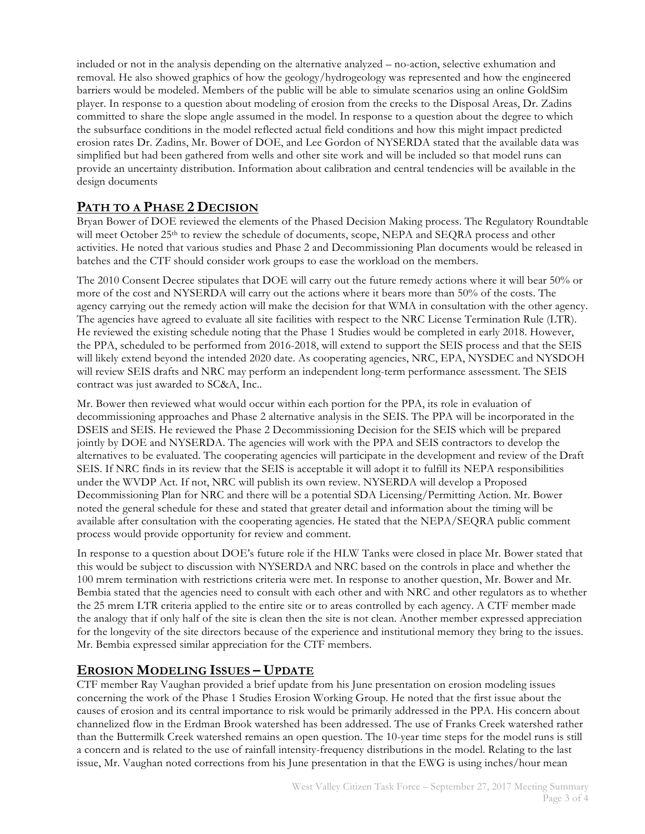included or not in the analysis depending on the alternative analyzed – no-action, selective exhumation and removal. He also showed graphics of how the geology/hydrogeology was represented and how the engineered barriers would be modeled. Members of the public will be able to simulate scenarios using an online GoldSim player. In response to a question about modeling of erosion from the creeks to the Disposal Areas, Dr. Zadins committed to share the slope angle assumed in the model. In response to a question about the degree to which the subsurface conditions in the model reflected actual field conditions and how this might impact predicted erosion rates Dr. Zadins, Mr. Bower of DOE, and Lee Gordon of NYSERDA stated that the available data was simplified but had been gathered from wells and other site work and will be included so that model runs can provide an uncertainty distribution. Information about calibration and central tendencies will be available in the design documents

# **PATH TO A PHASE 2 DECISION**

Bryan Bower of DOE reviewed the elements of the Phased Decision Making process. The Regulatory Roundtable will meet October 25<sup>th</sup> to review the schedule of documents, scope, NEPA and SEQRA process and other activities. He noted that various studies and Phase 2 and Decommissioning Plan documents would be released in batches and the CTF should consider work groups to ease the workload on the members.

The 2010 Consent Decree stipulates that DOE will carry out the future remedy actions where it will bear 50% or more of the cost and NYSERDA will carry out the actions where it bears more than 50% of the costs. The agency carrying out the remedy action will make the decision for that WMA in consultation with the other agency. The agencies have agreed to evaluate all site facilities with respect to the NRC License Termination Rule (LTR). He reviewed the existing schedule noting that the Phase 1 Studies would be completed in early 2018. However, the PPA, scheduled to be performed from 2016-2018, will extend to support the SEIS process and that the SEIS will likely extend beyond the intended 2020 date. As cooperating agencies, NRC, EPA, NYSDEC and NYSDOH will review SEIS drafts and NRC may perform an independent long-term performance assessment. The SEIS contract was just awarded to SC&A, Inc..

Mr. Bower then reviewed what would occur within each portion for the PPA, its role in evaluation of decommissioning approaches and Phase 2 alternative analysis in the SEIS. The PPA will be incorporated in the DSEIS and SEIS. He reviewed the Phase 2 Decommissioning Decision for the SEIS which will be prepared jointly by DOE and NYSERDA. The agencies will work with the PPA and SEIS contractors to develop the alternatives to be evaluated. The cooperating agencies will participate in the development and review of the Draft SEIS. If NRC finds in its review that the SEIS is acceptable it will adopt it to fulfill its NEPA responsibilities under the WVDP Act. If not, NRC will publish its own review. NYSERDA will develop a Proposed Decommissioning Plan for NRC and there will be a potential SDA Licensing/Permitting Action. Mr. Bower noted the general schedule for these and stated that greater detail and information about the timing will be available after consultation with the cooperating agencies. He stated that the NEPA/SEQRA public comment process would provide opportunity for review and comment.

In response to a question about DOE's future role if the HLW Tanks were closed in place Mr. Bower stated that this would be subject to discussion with NYSERDA and NRC based on the controls in place and whether the 100 mrem termination with restrictions criteria were met. In response to another question, Mr. Bower and Mr. Bembia stated that the agencies need to consult with each other and with NRC and other regulators as to whether the 25 mrem LTR criteria applied to the entire site or to areas controlled by each agency. A CTF member made the analogy that if only half of the site is clean then the site is not clean. Another member expressed appreciation for the longevity of the site directors because of the experience and institutional memory they bring to the issues. Mr. Bembia expressed similar appreciation for the CTF members.

# **EROSION MODELING ISSUES – UPDATE**

CTF member Ray Vaughan provided a brief update from his June presentation on erosion modeling issues concerning the work of the Phase 1 Studies Erosion Working Group. He noted that the first issue about the causes of erosion and its central importance to risk would be primarily addressed in the PPA. His concern about channelized flow in the Erdman Brook watershed has been addressed. The use of Franks Creek watershed rather than the Buttermilk Creek watershed remains an open question. The 10-year time steps for the model runs is still a concern and is related to the use of rainfall intensity-frequency distributions in the model. Relating to the last issue, Mr. Vaughan noted corrections from his June presentation in that the EWG is using inches/hour mean